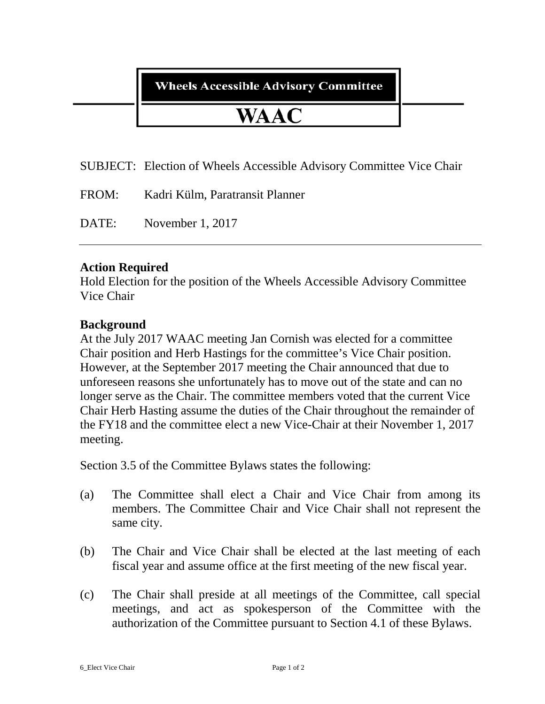## **Wheels Accessible Advisory Committee**

# WAAC

SUBJECT: Election of Wheels Accessible Advisory Committee Vice Chair

| Kadri Külm, Paratransit Planner<br>FROM: |  |
|------------------------------------------|--|
|------------------------------------------|--|

DATE: November 1, 2017

### **Action Required**

Hold Election for the position of the Wheels Accessible Advisory Committee Vice Chair

## **Background**

At the July 2017 WAAC meeting Jan Cornish was elected for a committee Chair position and Herb Hastings for the committee's Vice Chair position. However, at the September 2017 meeting the Chair announced that due to unforeseen reasons she unfortunately has to move out of the state and can no longer serve as the Chair. The committee members voted that the current Vice Chair Herb Hasting assume the duties of the Chair throughout the remainder of the FY18 and the committee elect a new Vice-Chair at their November 1, 2017 meeting.

Section 3.5 of the Committee Bylaws states the following:

- (a) The Committee shall elect a Chair and Vice Chair from among its members. The Committee Chair and Vice Chair shall not represent the same city.
- (b) The Chair and Vice Chair shall be elected at the last meeting of each fiscal year and assume office at the first meeting of the new fiscal year.
- (c) The Chair shall preside at all meetings of the Committee, call special meetings, and act as spokesperson of the Committee with the authorization of the Committee pursuant to Section 4.1 of these Bylaws.